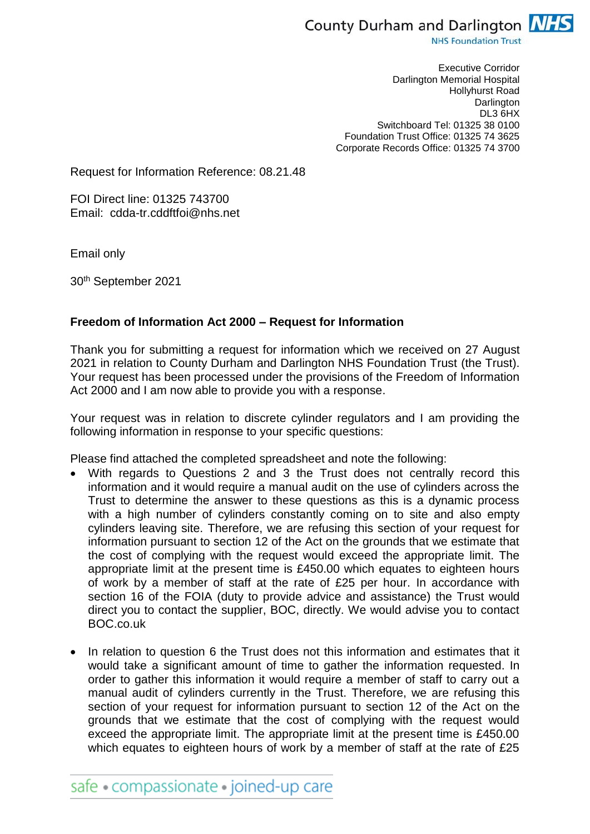

**NHS Foundation Trust** 

Executive Corridor Darlington Memorial Hospital Hollyhurst Road **Darlington** DL3 6HX Switchboard Tel: 01325 38 0100 Foundation Trust Office: 01325 74 3625 Corporate Records Office: 01325 74 3700

Request for Information Reference: 08.21.48

FOI Direct line: 01325 743700 Email: cdda-tr.cddftfoi@nhs.net

Email only

30th September 2021

## **Freedom of Information Act 2000 – Request for Information**

Thank you for submitting a request for information which we received on 27 August 2021 in relation to County Durham and Darlington NHS Foundation Trust (the Trust). Your request has been processed under the provisions of the Freedom of Information Act 2000 and I am now able to provide you with a response.

Your request was in relation to discrete cylinder regulators and I am providing the following information in response to your specific questions:

Please find attached the completed spreadsheet and note the following:

- With regards to Questions 2 and 3 the Trust does not centrally record this information and it would require a manual audit on the use of cylinders across the Trust to determine the answer to these questions as this is a dynamic process with a high number of cylinders constantly coming on to site and also empty cylinders leaving site. Therefore, we are refusing this section of your request for information pursuant to section 12 of the Act on the grounds that we estimate that the cost of complying with the request would exceed the appropriate limit. The appropriate limit at the present time is £450.00 which equates to eighteen hours of work by a member of staff at the rate of £25 per hour. In accordance with section 16 of the FOIA (duty to provide advice and assistance) the Trust would direct you to contact the supplier, BOC, directly. We would advise you to contact BOC.co.uk
- In relation to question 6 the Trust does not this information and estimates that it would take a significant amount of time to gather the information requested. In order to gather this information it would require a member of staff to carry out a manual audit of cylinders currently in the Trust. Therefore, we are refusing this section of your request for information pursuant to section 12 of the Act on the grounds that we estimate that the cost of complying with the request would exceed the appropriate limit. The appropriate limit at the present time is £450.00 which equates to eighteen hours of work by a member of staff at the rate of £25